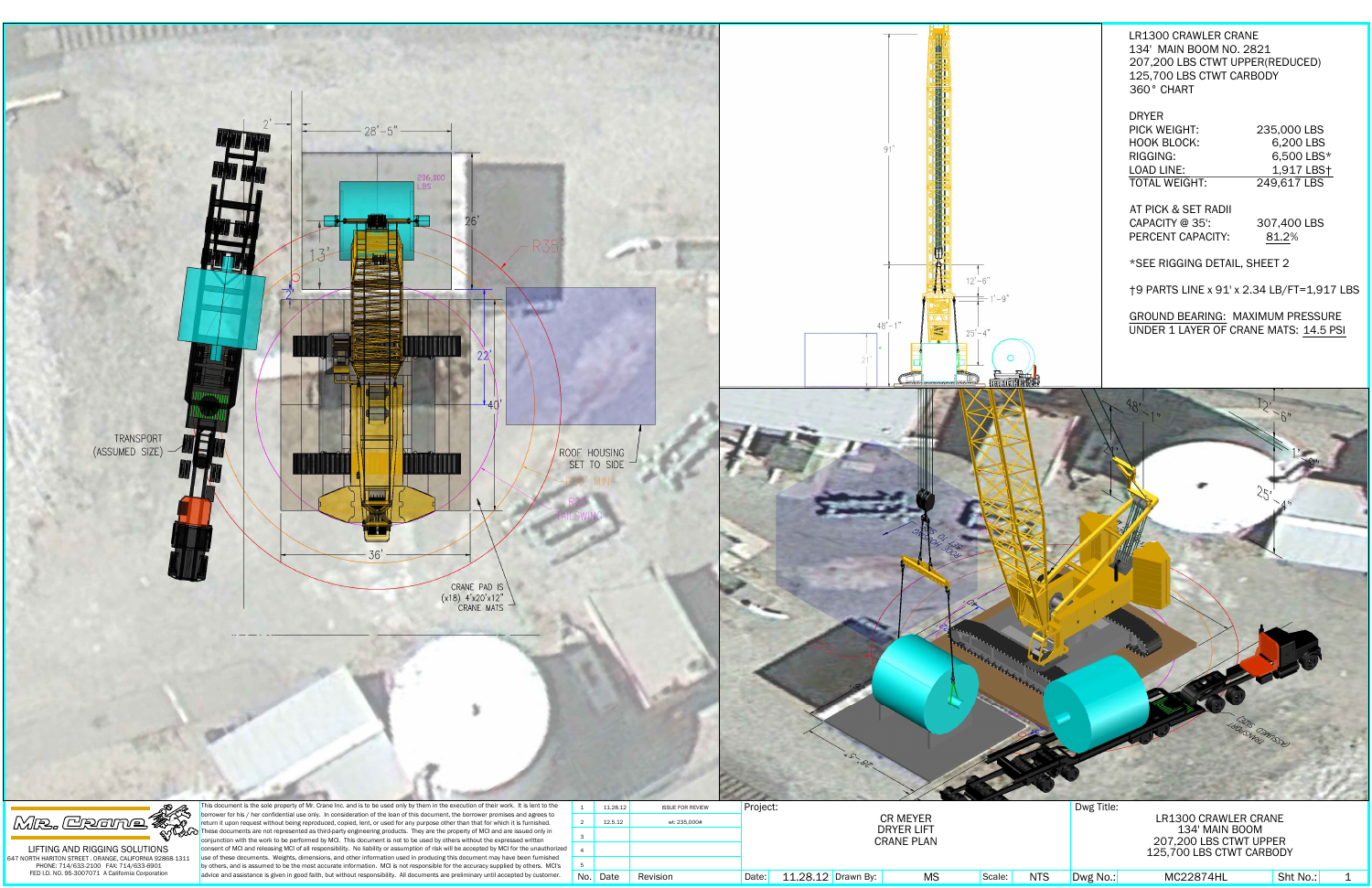

| 11.28.12 | <b>ISSUE FOR REVIEW</b> | Project: |                    |                                        |        |
|----------|-------------------------|----------|--------------------|----------------------------------------|--------|
| 12.5.12  | wt: 235.000#            |          |                    | <b>CR MEYER</b>                        |        |
|          |                         |          |                    | <b>DRYER LIFT</b><br><b>CRANE PLAN</b> |        |
|          |                         |          |                    |                                        |        |
|          |                         |          |                    |                                        |        |
| . Date   | Revision                | Date:    | 11.28.12 Drawn By: | ΜS                                     | Scale: |